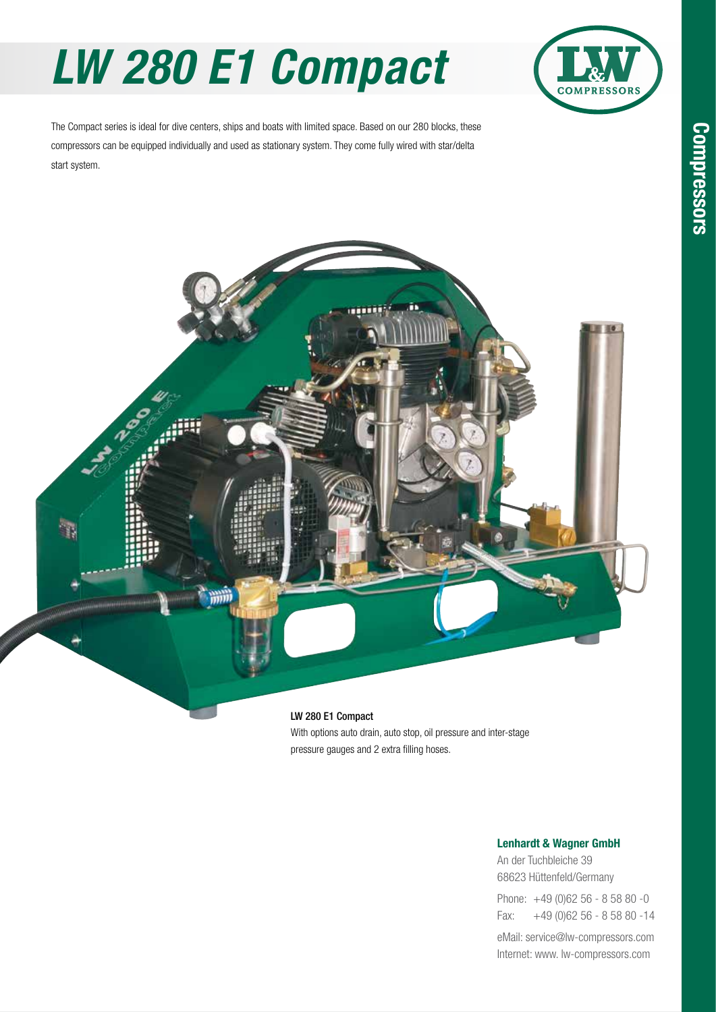# *LW 280 E1 Compact*



The Compact series is ideal for dive centers, ships and boats with limited space. Based on our 280 blocks, these compressors can be equipped individually and used as stationary system. They come fully wired with star/delta start system.



With options auto drain, auto stop, oil pressure and inter-stage pressure gauges and 2 extra filling hoses.

#### Lenhardt & Wagner GmbH

An der Tuchbleiche 39 68623 Hüttenfeld / Germany Hüttenfeld/Germany

Phone: +49 (0)62 56 - 8 58 80 -0 Fax: +49 (0)62 56 - 8 58 80 -14 +49 (0)62 56 - 8 58 80 -14

eMail: service@lw-compressors.com Internet: www. lw-compressors.com